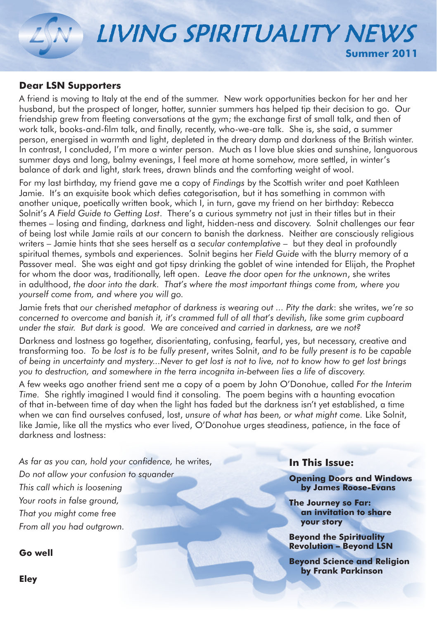# LIVING SPIRITUALITY NEWS **Summer 2011**

#### **Dear LSN Supporters**

A friend is moving to Italy at the end of the summer. New work opportunities beckon for her and her husband, but the prospect of longer, hotter, sunnier summers has helped tip their decision to go. Our friendship grew from fleeting conversations at the gym; the exchange first of small talk, and then of work talk, books-and-film talk, and finally, recently, who-we-are talk. She is, she said, a summer person, energised in warmth and light, depleted in the dreary damp and darkness of the British winter. In contrast, I concluded, I'm more a winter person. Much as I love blue skies and sunshine, languorous summer days and long, balmy evenings, I feel more at home somehow, more settled, in winter's balance of dark and light, stark trees, drawn blinds and the comforting weight of wool.

For my last birthday, my friend gave me a copy of *Findings* by the Scottish writer and poet Kathleen Jamie. It's an exquisite book which defies categorisation, but it has something in common with another unique, poetically written book, which I, in turn, gave my friend on her birthday: Rebecca Solnit's *A Field Guide to Getting Lost*. There's a curious symmetry not just in their titles but in their themes – losing and finding, darkness and light, hidden-ness and discovery. Solnit challenges our fear of being lost while Jamie rails at our concern to banish the darkness. Neither are consciously religious writers – Jamie hints that she sees herself as a *secular contemplative* – but they deal in profoundly spiritual themes, symbols and experiences. Solnit begins her *Field Guide* with the blurry memory of a Passover meal. She was eight and got tipsy drinking the goblet of wine intended for Elijah, the Prophet for whom the door was, traditionally, left open. *Leave the door open for the unknown*, she writes in adulthood, *the door into the dark. That's where the most important things come from, where you yourself come from, and where you will go.*

Jamie frets that *our cherished metaphor of darkness is wearing out ... Pity the dark*: she writes, *we're so concerned to overcome and banish it, it's crammed full of all that's devilish, like some grim cupboard under the stair. But dark is good. We are conceived and carried in darkness, are we not?* 

Darkness and lostness go together, disorientating, confusing, fearful, yes, but necessary, creative and transforming too. *To be lost is to be fully present*, writes Solnit, *and to be fully present is to be capable of being in uncertainty and mystery...Never to get lost is not to live, not to know how to get lost brings you to destruction, and somewhere in the terra incognita in-between lies a life of discovery.*

A few weeks ago another friend sent me a copy of a poem by John O'Donohue, called *For the Interim Time.* She rightly imagined I would find it consoling. The poem begins with a haunting evocation of that in-between time of day when the light has faded but the darkness isn't yet established, a time when we can find ourselves confused, lost, *unsure of what has been, or what might come.* Like Solnit, like Jamie, like all the mystics who ever lived, O'Donohue urges steadiness, patience, in the face of darkness and lostness:

*As far as you can, hold your confidence,* he writes, *Do not allow your confusion to squander This call which is loosening Your roots in false ground, That you might come free From all you had outgrown.*

#### **Go well**

**In This Issue:**

**Opening Doors and Windows by James Roose-Evans**

**The Journey so Far: an invitation to share your story**

**Beyond the Spirituality Revolution – Beyond LSN**

**Beyond Science and Religion by Frank Parkinson**

**Eley**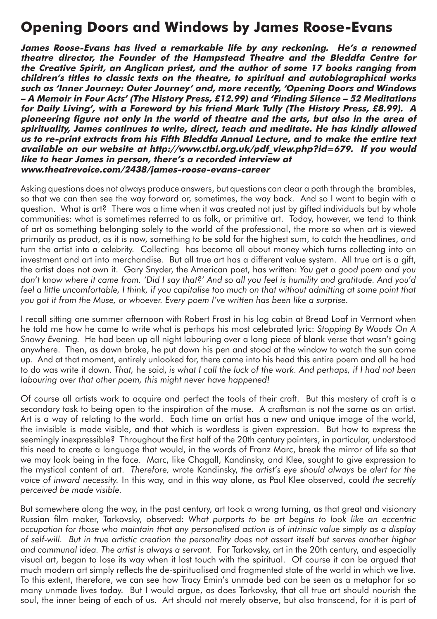## **Opening Doors and Windows by James Roose-Evans**

**James Roose-Evans has lived a remarkable life by any reckoning. He's a renowned theatre director, the Founder of the Hampstead Theatre and the Bleddfa Centre for the Creative Spirit, an Anglican priest, and the author of some 17 books ranging from children's titles to classic texts on the theatre, to spiritual and autobiographical works such as 'Inner Journey: Outer Journey' and, more recently, 'Opening Doors and Windows – A Memoir in Four Acts' (The History Press, £12.99) and 'Finding Silence – 52 Meditations for Daily Living', with a Foreword by his friend Mark Tully (The History Press, £8.99). A pioneering figure not only in the world of theatre and the arts, but also in the area of spirituality, James continues to write, direct, teach and meditate. He has kindly allowed us to re-print extracts from his Fifth Bleddfa Annual Lecture, and to make the entire text available on our website at http://www.ctbi.org.uk/pdf\_view.php?id=679. If you would like to hear James in person, there's a recorded interview at www.theatrevoice.com/2438/james-roose-evans-career** 

Asking questions does not always produce answers, but questions can clear a path through the brambles, so that we can then see the way forward or, sometimes, the way back. And so I want to begin with a question. What is art? There was a time when it was created not just by gifted individuals but by whole communities: what is sometimes referred to as folk, or primitive art. Today, however, we tend to think of art as something belonging solely to the world of the professional, the more so when art is viewed primarily as product, as it is now, something to be sold for the highest sum, to catch the headlines, and turn the artist into a celebrity. Collecting has become all about money which turns collecting into an investment and art into merchandise. But all true art has a different value system. All true art is a gift, the artist does not own it. Gary Snyder, the American poet, has written: *You get a good poem and you don't know where it came from. 'Did I say that?' And so all you feel is humility and gratitude. And you'd feel a little uncomfortable, I think, if you capitalise too much on that without admitting at some point that you got it from the Muse, or whoever. Every poem I've written has been like a surprise.*

I recall sitting one summer afternoon with Robert Frost in his log cabin at Bread Loaf in Vermont when he told me how he came to write what is perhaps his most celebrated lyric: *Stopping By Woods On A Snowy Evening.* He had been up all night labouring over a long piece of blank verse that wasn't going anywhere. Then, as dawn broke, he put down his pen and stood at the window to watch the sun come up. And at that moment, entirely unlooked for, there came into his head this entire poem and all he had to do was write it down. *That,* he said, *is what I call the luck of the work. And perhaps, if I had not been labouring over that other poem, this might never have happened!*

Of course all artists work to acquire and perfect the tools of their craft. But this mastery of craft is a secondary task to being open to the inspiration of the muse. A craftsman is not the same as an artist. Art is a way of relating to the world. Each time an artist has a new and unique image of the world, the invisible is made visible, and that which is wordless is given expression. But how to express the seemingly inexpressible? Throughout the first half of the 20th century painters, in particular, understood this need to create a language that would, in the words of Franz Marc, break the mirror of life so that we may look being in the face. Marc, like Chagall, Kandinsky, and Klee, sought to give expression to the mystical content of art. *Therefore,* wrote Kandinsky, *the artist's eye should always be alert for the voice of inward necessity.* In this way, and in this way alone, as Paul Klee observed, could *the secretly perceived be made visible.*

But somewhere along the way, in the past century, art took a wrong turning, as that great and visionary Russian film maker, Tarkovsky, observed: *What purports to be art begins to look like an eccentric occupation for those who maintain that any personalised action is of intrinsic value simply as a display of self-will. But in true artistic creation the personality does not assert itself but serves another higher and communal idea. The artist is always a servant.* For Tarkovsky, art in the 20th century, and especially visual art, began to lose its way when it lost touch with the spiritual. Of course it can be argued that much modern art simply reflects the de-spiritualised and fragmented state of the world in which we live. To this extent, therefore, we can see how Tracy Emin's unmade bed can be seen as a metaphor for so many unmade lives today. But I would argue, as does Tarkovsky, that all true art should nourish the soul, the inner being of each of us. Art should not merely observe, but also transcend, for it is part of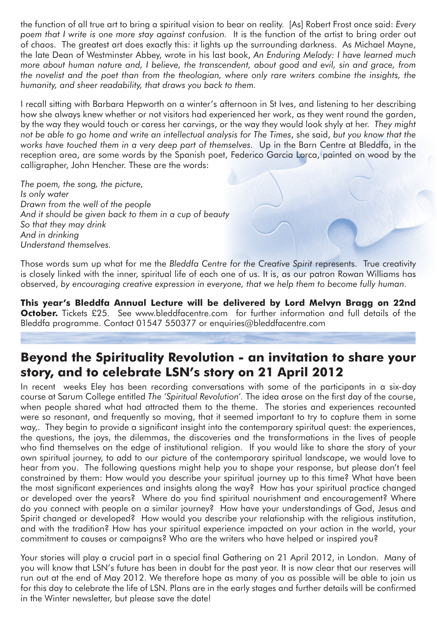the function of all true art to bring a spiritual vision to bear on reality. [As] Robert Frost once said: *Every poem that I write is one more stay against confusion.* It is the function of the artist to bring order out of chaos. The greatest art does exactly this: it lights up the surrounding darkness. As Michael Mayne, the late Dean of Westminster Abbey, wrote in his last book, *An Enduring Melody: I have learned much more about human nature and, I believe, the transcendent, about good and evil, sin and grace, from the novelist and the poet than from the theologian, where only rare writers combine the insights, the humanity, and sheer readability, that draws you back to them.*

I recall sitting with Barbara Hepworth on a winter's afternoon in St Ives, and listening to her describing how she always knew whether or not visitors had experienced her work, as they went round the garden, by the way they would touch or caress her carvings, or the way they would look shyly at her. *They might not be able to go home and write an intellectual analysis for The Times*, she said, *but you know that the works have touched them in a very deep part of themselves.* Up in the Barn Centre at Bleddfa, in the reception area, are some words by the Spanish poet, Federico Garcia Lorca, painted on wood by the calligrapher, John Hencher. These are the words:

*The poem, the song, the picture, Is only water Drawn from the well of the people And it should be given back to them in a cup of beauty So that they may drink And in drinking Understand themselves.*

Those words sum up what for me the *Bleddfa Centre for the Creative Spirit* represents. True creativity is closely linked with the inner, spiritual life of each one of us. It is, as our patron Rowan Williams has observed, *by encouraging creative expression in everyone, that we help them to become fully human.* 

**This year's Bleddfa Annual Lecture will be delivered by Lord Melvyn Bragg on 22nd October.** Tickets £25. See www.bleddfacentre.com for further information and full details of the Bleddfa programme. Contact 01547 550377 or enquiries@bleddfacentre.com

## **Beyond the Spirituality Revolution - an invitation to share your story, and to celebrate LSN's story on 21 April 2012**

In recent weeks Eley has been recording conversations with some of the participants in a six-day course at Sarum College entitled *The 'Spiritual Revolution'.* The idea arose on the first day of the course, when people shared what had attracted them to the theme. The stories and experiences recounted were so resonant, and frequently so moving, that it seemed important to try to capture them in some way,. They begin to provide a significant insight into the contemporary spiritual quest: the experiences, the questions, the joys, the dilemmas, the discoveries and the transformations in the lives of people who find themselves on the edge of institutional religion. If you would like to share the story of your own spiritual journey, to add to our picture of the contemporary spiritual landscape, we would love to hear from you. The following questions might help you to shape your response, but please don't feel constrained by them: How would you describe your spiritual journey up to this time? What have been the most significant experiences and insights along the way? How has your spiritual practice changed or developed over the years? Where do you find spiritual nourishment and encouragement? Where do you connect with people on a similar journey? How have your understandings of God, Jesus and Spirit changed or developed? How would you describe your relationship with the religious institution, and with the tradition? How has your spiritual experience impacted on your action in the world, your commitment to causes or campaigns? Who are the writers who have helped or inspired you?

Your stories will play a crucial part in a special final Gathering on 21 April 2012, in London. Many of you will know that LSN's future has been in doubt for the past year. It is now clear that our reserves will run out at the end of May 2012. We therefore hope as many of you as possible will be able to join us for this day to celebrate the life of LSN. Plans are in the early stages and further details will be confirmed in the Winter newsletter, but please save the date!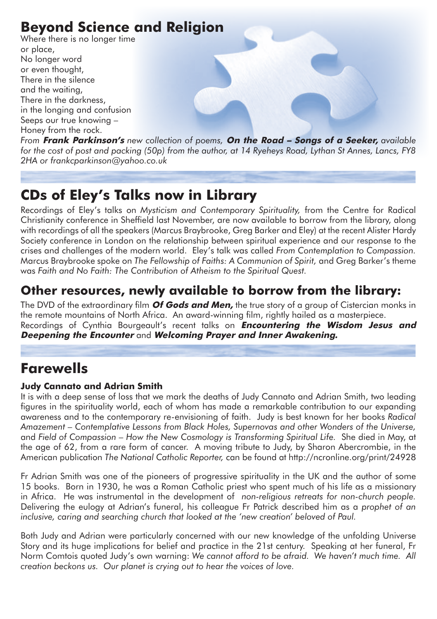# **Beyond Science and Religion**

Where there is no longer time or place, No longer word or even thought, There in the silence and the waiting, There in the darkness, in the longing and confusion Seeps our true knowing – Honey from the rock.

*From* **Frank Parkinson's** *new collection of poems,* **On the Road – Songs of a Seeker,** *available for the cost of post and packing (50p) from the author, at 14 Ryeheys Road, Lythan St Annes, Lancs, FY8 2HA or frankcparkinson@yahoo.co.uk*

# **CDs of Eley's Talks now in Library**

Recordings of Eley's talks on *Mysticism and Contemporary Spirituality,* from the Centre for Radical Christianity conference in Sheffield last November, are now available to borrow from the library, along with recordings of all the speakers (Marcus Braybrooke, Greg Barker and Eley) at the recent Alister Hardy Society conference in London on the relationship between spiritual experience and our response to the crises and challenges of the modern world. Eley's talk was called *From Contemplation to Compassion.* Marcus Braybrooke spoke on *The Fellowship of Faiths: A Communion of Spirit,* and Greg Barker's theme was *Faith and No Faith: The Contribution of Atheism to the Spiritual Quest.*

## **Other resources, newly available to borrow from the library:**

The DVD of the extraordinary film **Of Gods and Men,** the true story of a group of Cistercian monks in the remote mountains of North Africa. An award-winning film, rightly hailed as a masterpiece. Recordings of Cynthia Bourgeault's recent talks on **Encountering the Wisdom Jesus and** 

**Deepening the Encounter** and **Welcoming Prayer and Inner Awakening.**

# **Farewells**

### **Judy Cannato and Adrian Smith**

It is with a deep sense of loss that we mark the deaths of Judy Cannato and Adrian Smith, two leading figures in the spirituality world, each of whom has made a remarkable contribution to our expanding awareness and to the contemporary re-envisioning of faith. Judy is best known for her books *Radical Amazement – Contemplative Lessons from Black Holes, Supernovas and other Wonders of the Universe,*  and *Field of Compassion – How the New Cosmology is Transforming Spiritual Life.* She died in May, at the age of 62, from a rare form of cancer. A moving tribute to Judy, by Sharon Abercrombie, in the American publication *The National Catholic Reporter,* can be found at http://ncronline.org/print/24928

Fr Adrian Smith was one of the pioneers of progressive spirituality in the UK and the author of some 15 books. Born in 1930, he was a Roman Catholic priest who spent much of his life as a missionary in Africa. He was instrumental in the development of *non-religious retreats for non-church people.* Delivering the eulogy at Adrian's funeral, his colleague Fr Patrick described him as a *prophet of an inclusive, caring and searching church that looked at the 'new creation' beloved of Paul.*

Both Judy and Adrian were particularly concerned with our new knowledge of the unfolding Universe Story and its huge implications for belief and practice in the 21st century. Speaking at her funeral, Fr Norm Comtois quoted Judy's own warning: *We cannot afford to be afraid. We haven't much time. All creation beckons us. Our planet is crying out to hear the voices of love.*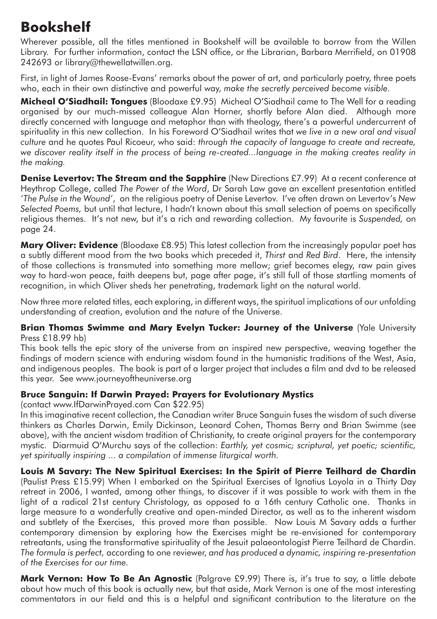# **Bookshelf**

Wherever possible, all the titles mentioned in Bookshelf will be available to borrow from the Willen Library. For further information, contact the LSN office, or the Librarian, Barbara Merrifield, on 01908 242693 or library@thewellatwillen.org.

First, in light of James Roose-Evans' remarks about the power of art, and particularly poetry, three poets who, each in their own distinctive and powerful way, *make the secretly perceived become visible.* 

**Micheal O'Siadhail: Tongues** (Bloodaxe £9.95) Micheal O'Siadhail came to The Well for a reading organised by our much-missed colleague Alan Horner, shortly before Alan died. Although more directly concerned with language and metaphor than with theology, there's a powerful undercurrent of spirituality in this new collection. In his Foreword O'Siadhail writes that *we live in a new oral and visual culture* and he quotes Paul Ricoeur, who said: *through the capacity of language to create and recreate, we discover reality itself in the process of being re-created...language in the making creates reality in the making.* 

**Denise Levertov: The Stream and the Sapphire** (New Directions £7.99) At a recent conference at Heythrop College, called *The Power of the Word*, Dr Sarah Law gave an excellent presentation entitled *'The Pulse in the Wound'*, on the religious poetry of Denise Levertov. I've often drawn on Levertov's *New Selected Poems,* but until that lecture, I hadn't known about this small selection of poems on specifically religious themes. It's not new, but it's a rich and rewarding collection. My favourite is *Suspended,* on page 24.

**Mary Oliver: Evidence** (Bloodaxe £8.95) This latest collection from the increasingly popular poet has a subtly different mood from the two books which preceded it, *Thirst* and *Red Bird*. Here, the intensity of those collections is transmuted into something more mellow; grief becomes elegy, raw pain gives way to hard-won peace, faith deepens but, page after page, it's still full of those startling moments of recognition, in which Oliver sheds her penetrating, trademark light on the natural world.

Now three more related titles, each exploring, in different ways, the spiritual implications of our unfolding understanding of creation, evolution and the nature of the Universe.

#### **Brian Thomas Swimme and Mary Evelyn Tucker: Journey of the Universe** (Yale University Press £18.99 hb)

This book tells the epic story of the universe from an inspired new perspective, weaving together the findings of modern science with enduring wisdom found in the humanistic traditions of the West, Asia, and indigenous peoples. The book is part of a larger project that includes a film and dvd to be released this year. See www.journeyoftheuniverse.org

#### **Bruce Sanguin: If Darwin Prayed: Prayers for Evolutionary Mystics**

(contact www.IfDarwinPrayed.com Can \$22.95)

In this imaginative recent collection, the Canadian writer Bruce Sanguin fuses the wisdom of such diverse thinkers as Charles Darwin, Emily Dickinson, Leonard Cohen, Thomas Berry and Brian Swimme (see above), with the ancient wisdom tradition of Christianity, to create original prayers for the contemporary mystic. Diarmuid O'Murchu says of the collection: *Earthly, yet cosmic; scriptural, yet poetic; scientific, yet spiritually inspiring ... a compilation of immense liturgical worth.*

#### **Louis M Savary: The New Spiritual Exercises: In the Spirit of Pierre Teilhard de Chardin**

(Paulist Press £15.99) When I embarked on the Spiritual Exercises of Ignatius Loyola in a Thirty Day retreat in 2006, I wanted, among other things, to discover if it was possible to work with them in the light of a radical 21st century Christology, as opposed to a 16th century Catholic one. Thanks in large measure to a wonderfully creative and open-minded Director, as well as to the inherent wisdom and subtlety of the Exercises, this proved more than possible. Now Louis M Savary adds a further contemporary dimension by exploring how the Exercises might be re-envisioned for contemporary retreatants, using the transformative spirituality of the Jesuit palaeontologist Pierre Teilhard de Chardin. *The formula is perfect,* according to one reviewer, *and has produced a dynamic, inspiring re-presentation of the Exercises for our time.*

**Mark Vernon: How To Be An Agnostic** (Palgrave £9.99) There is, it's true to say, a little debate about how much of this book is actually new, but that aside, Mark Vernon is one of the most interesting commentators in our field and this is a helpful and significant contribution to the literature on the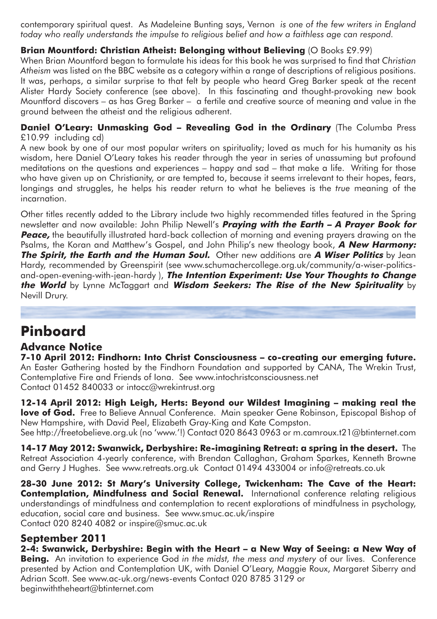contemporary spiritual quest. As Madeleine Bunting says, Vernon *is one of the few writers in England today who really understands the impulse to religious belief and how a faithless age can respond.*

#### **Brian Mountford: Christian Atheist: Belonging without Believing** (O Books £9.99)

When Brian Mountford began to formulate his ideas for this book he was surprised to find that *Christian Atheism* was listed on the BBC website as a category within a range of descriptions of religious positions. It was, perhaps, a similar surprise to that felt by people who heard Greg Barker speak at the recent Alister Hardy Society conference (see above). In this fascinating and thought-provoking new book Mountford discovers – as has Greg Barker – a fertile and creative source of meaning and value in the ground between the atheist and the religious adherent.

#### **Daniel O'Leary: Unmasking God – Revealing God in the Ordinary** (The Columba Press £10.99 including cd)

A new book by one of our most popular writers on spirituality; loved as much for his humanity as his wisdom, here Daniel O'Leary takes his reader through the year in series of unassuming but profound meditations on the questions and experiences – happy and sad – that make a life. Writing for those who have given up on Christianity, or are tempted to, because it seems irrelevant to their hopes, fears, longings and struggles, he helps his reader return to what he believes is the *true* meaning of the incarnation.

Other titles recently added to the Library include two highly recommended titles featured in the Spring newsletter and now available: John Philip Newell's **Praying with the Earth – A Prayer Book for Peace,** the beautifully illustrated hard-back collection of morning and evening prayers drawing on the Psalms, the Koran and Matthew's Gospel, and John Philip's new theology book, **A New Harmony: The Spirit, the Earth and the Human Soul.** Other new additions are **A Wiser Politics** by Jean Hardy, recommended by Greenspirit (see www.schumachercollege.org.uk/community/a-wiser-politicsand-open-evening-with-jean-hardy ), **The Intention Experiment: Use Your Thoughts to Change the World** by Lynne McTaggart and **Wisdom Seekers: The Rise of the New Spirituality** by Nevill Drury.

# **Pinboard**

### **Advance Notice**

**7-10 April 2012: Findhorn: Into Christ Consciousness – co-creating our emerging future.**  An Easter Gathering hosted by the Findhorn Foundation and supported by CANA, The Wrekin Trust, Contemplative Fire and Friends of Iona. See www.intochristconsciousness.net Contact 01452 840033 or intocc@wrekintrust.org

**12-14 April 2012: High Leigh, Herts: Beyond our Wildest Imagining – making real the love of God.** Free to Believe Annual Conference. Main speaker Gene Robinson, Episcopal Bishop of New Hampshire, with David Peel, Elizabeth Gray-King and Kate Compston. See http://freetobelieve.org.uk (no 'www.'!) Contact 020 8643 0963 or m.camroux.t21@btinternet.com

**14-17 May 2012: Swanwick, Derbyshire: Re-imagining Retreat: a spring in the desert.** The Retreat Association 4-yearly conference, with Brendan Callaghan, Graham Sparkes, Kenneth Browne and Gerry J Hughes. See www.retreats.org.uk Contact 01494 433004 or info@retreats.co.uk

**28-30 June 2012: St Mary's University College, Twickenham: The Cave of the Heart: Contemplation, Mindfulness and Social Renewal.** International conference relating religious understandings of mindfulness and contemplation to recent explorations of mindfulness in psychology, education, social care and business. See www.smuc.ac.uk/inspire Contact 020 8240 4082 or inspire@smuc.ac.uk

### **September 2011**

**2-4: Swanwick, Derbyshire: Begin with the Heart – a New Way of Seeing: a New Way of Being.** An invitation to experience God *in the midst, the mess and mystery* of our lives. Conference presented by Action and Contemplation UK, with Daniel O'Leary, Maggie Roux, Margaret Siberry and Adrian Scott. See www.ac-uk.org/news-events Contact 020 8785 3129 or beginwiththeheart@btinternet.com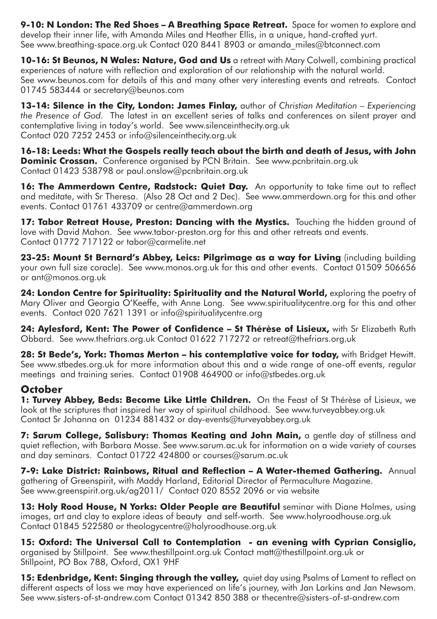**9-10: N London: The Red Shoes – A Breathing Space Retreat.** Space for women to explore and develop their inner life, with Amanda Miles and Heather Ellis, in a unique, hand-crafted yurt. See www.breathing-space.org.uk Contact 020 8441 8903 or amanda\_miles@btconnect.com

**10-16: St Beunos, N Wales: Nature, God and Us** a retreat with Mary Colwell, combining practical experiences of nature with reflection and exploration of our relationship with the natural world. See www.beunos.com for details of this and many other very interesting events and retreats. Contact 01745 583444 or secretary@beunos.com

**13-14: Silence in the City, London: James Finlay,** author of *Christian Meditation – Experiencing the Presence of God.* The latest in an excellent series of talks and conferences on silent prayer and contemplative living in today's world. See www.silenceinthecity.org.uk Contact 020 7252 2453 or info@silenceinthecity.org.uk

**16-18: Leeds: What the Gospels really teach about the birth and death of Jesus, with John Dominic Crossan.** Conference organised by PCN Britain. See www.pcnbritain.org.uk Contact 01423 538798 or paul.onslow@pcnbritain.org.uk

**16: The Ammerdown Centre, Radstock: Quiet Day.** An opportunity to take time out to reflect and meditate, with Sr Theresa. (Also 28 Oct and 2 Dec). See www.ammerdown.org for this and other events. Contact 01761 433709 or centre@ammerdown.org

17: Tabor Retreat House, Preston: Dancing with the Mystics. Touching the hidden ground of love with David Mahon. See www.tabor-preston.org for this and other retreats and events. Contact 01772 717122 or tabor@carmelite.net

23-25: Mount St Bernard's Abbey, Leics: Pilarimage as a way for Livina (including building your own full size coracle). See www.monos.org.uk for this and other events. Contact 01509 506656 or ant@monos.org.uk

**24: London Centre for Spirituality: Spirituality and the Natural World,** exploring the poetry of Mary Oliver and Georgia O'Keeffe, with Anne Long. See www.spiritualitycentre.org for this and other events. Contact 020 7621 1391 or info@spiritualitycentre.org

**24: Aylesford, Kent: The Power of Confidence – St Thérèse of Lisieux,** with Sr Elizabeth Ruth Obbard. See www.thefriars.org.uk Contact 01622 717272 or retreat@thefriars.org.uk

**28: St Bede's, York: Thomas Merton – his contemplative voice for today,** with Bridget Hewitt. See www.stbedes.org.uk for more information about this and a wide range of one-off events, regular meetings and training series. Contact 01908 464900 or info@stbedes.org.uk

#### **October**

**1: Turvey Abbey, Beds: Become Like Little Children.** On the Feast of St Thérèse of Lisieux, we look at the scriptures that inspired her way of spiritual childhood. See www.turveyabbey.org.uk Contact Sr Johanna on 01234 881432 or day-events@turveyabbey.org.uk

**7: Sarum College, Salisbury: Thomas Keating and John Main,** a gentle day of stillness and quiet reflection, with Barbara Mosse. See www.sarum.ac.uk for information on a wide variety of courses and day seminars. Contact 01722 424800 or courses@sarum.ac.uk

**7-9: Lake District: Rainbows, Ritual and Reflection – A Water-themed Gathering.** Annual gathering of Greenspirit, with Maddy Harland, Editorial Director of Permaculture Magazine. See www.greenspirit.org.uk/ag2011/ Contact 020 8552 2096 or via website

**13: Holy Rood House, N Yorks: Older People are Beautiful** seminar with Diane Holmes, using images, art and clay to explore ideas of beauty and self-worth. See www.holyroodhouse.org.uk Contact 01845 522580 or theologycentre@holyroodhouse.org.uk

**15: Oxford: The Universal Call to Contemplation - an evening with Cyprian Consiglio,** organised by Stillpoint. See www.thestillpoint.org.uk Contact matt@thestillpoint.org.uk or Stillpoint, PO Box 788, Oxford, OX1 9HF

**15: Edenbridge, Kent: Singing through the valley,** quiet day using Psalms of Lament to reflect on different aspects of loss we may have experienced on life's journey, with Jan Larkins and Jan Newsom. See www.sisters-of-st-andrew.com Contact 01342 850 388 or thecentre@sisters-of-st-andrew.com